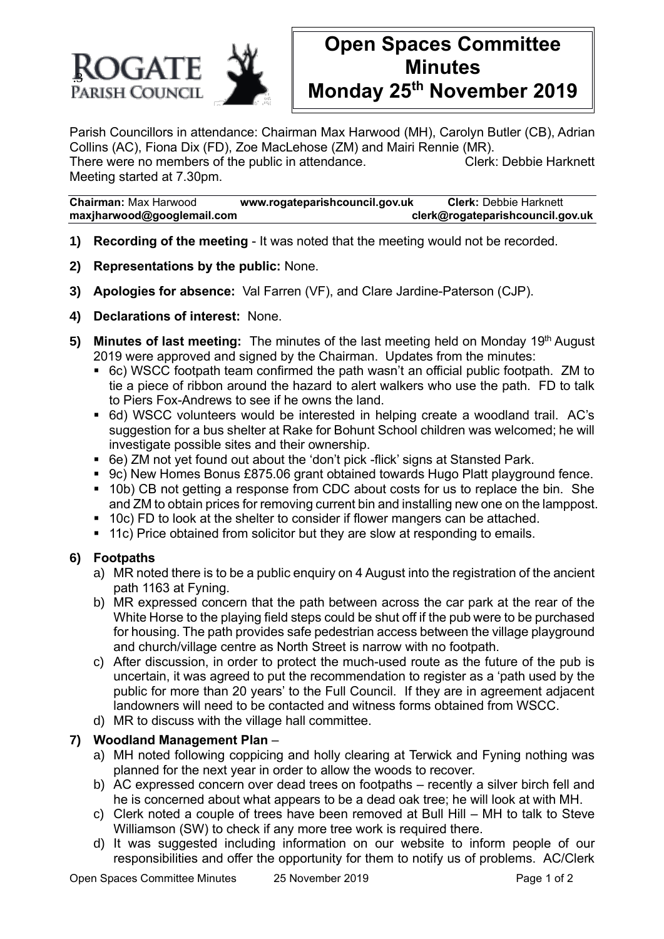

# **Open Spaces Committee Minutes Monday 25th November 2019**

Parish Councillors in attendance: Chairman Max Harwood (MH), Carolyn Butler (CB), Adrian Collins (AC), Fiona Dix (FD), Zoe MacLehose (ZM) and Mairi Rennie (MR). There were no members of the public in attendance. Clerk: Debbie Harknett Meeting started at 7.30pm.

**Chairman:** Max Harwood **www.rogateparishcouncil.gov.uk Clerk:** Debbie Harknett **maxjharwood@googlemail.com clerk@rogateparishcouncil.gov.uk**

- **1) Recording of the meeting** It was noted that the meeting would not be recorded.
- **2) Representations by the public:** None.
- **3) Apologies for absence:** Val Farren (VF), and Clare Jardine-Paterson (CJP).
- **4) Declarations of interest:** None.
- **5) Minutes of last meeting:** The minutes of the last meeting held on Monday 19<sup>th</sup> August 2019 were approved and signed by the Chairman. Updates from the minutes:
	- 6c) WSCC footpath team confirmed the path wasn't an official public footpath. ZM to tie a piece of ribbon around the hazard to alert walkers who use the path. FD to talk to Piers Fox-Andrews to see if he owns the land.
	- 6d) WSCC volunteers would be interested in helping create a woodland trail. AC's suggestion for a bus shelter at Rake for Bohunt School children was welcomed; he will investigate possible sites and their ownership.
	- 6e) ZM not vet found out about the 'don't pick -flick' signs at Stansted Park.
	- 9c) New Homes Bonus £875.06 grant obtained towards Hugo Platt playground fence.
	- 10b) CB not getting a response from CDC about costs for us to replace the bin. She and ZM to obtain prices for removing current bin and installing new one on the lamppost.
	- 10c) FD to look at the shelter to consider if flower mangers can be attached.
	- 11c) Price obtained from solicitor but they are slow at responding to emails.

### **6) Footpaths**

- a) MR noted there is to be a public enquiry on 4 August into the registration of the ancient path 1163 at Fyning.
- b) MR expressed concern that the path between across the car park at the rear of the White Horse to the playing field steps could be shut off if the pub were to be purchased for housing. The path provides safe pedestrian access between the village playground and church/village centre as North Street is narrow with no footpath.
- c) After discussion, in order to protect the much-used route as the future of the pub is uncertain, it was agreed to put the recommendation to register as a 'path used by the public for more than 20 years' to the Full Council. If they are in agreement adjacent landowners will need to be contacted and witness forms obtained from WSCC.
- d) MR to discuss with the village hall committee.

#### **7) Woodland Management Plan** –

- a) MH noted following coppicing and holly clearing at Terwick and Fyning nothing was planned for the next year in order to allow the woods to recover.
- b) AC expressed concern over dead trees on footpaths recently a silver birch fell and he is concerned about what appears to be a dead oak tree; he will look at with MH.
- c) Clerk noted a couple of trees have been removed at Bull Hill MH to talk to Steve Williamson (SW) to check if any more tree work is required there.
- d) It was suggested including information on our website to inform people of our responsibilities and offer the opportunity for them to notify us of problems. AC/Clerk